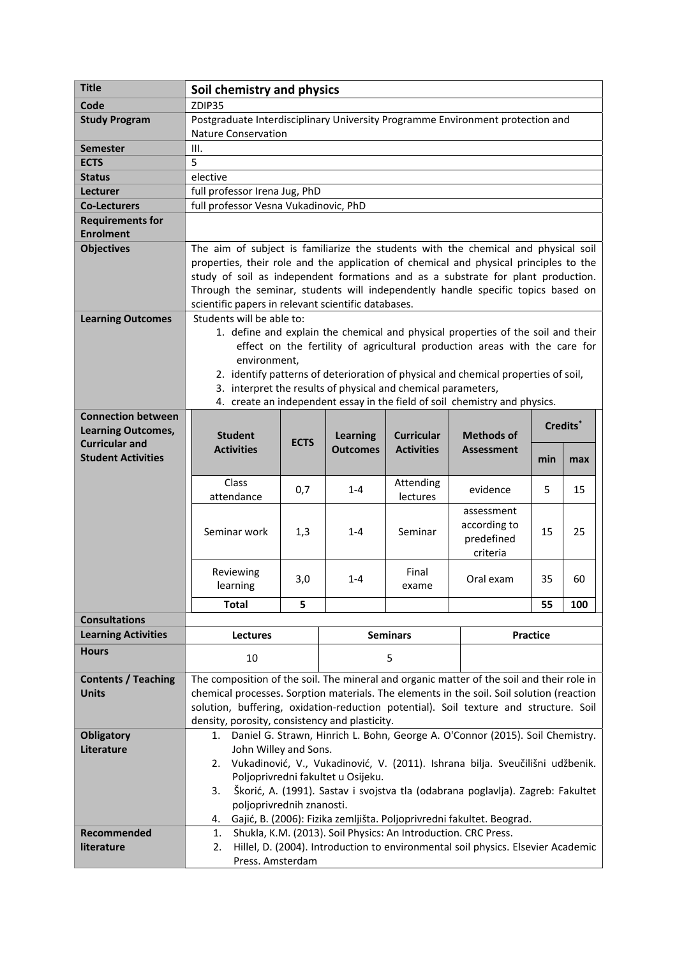| <b>Title</b>               | Soil chemistry and physics                                                                                                                                                         |     |                 |           |                 |     |     |
|----------------------------|------------------------------------------------------------------------------------------------------------------------------------------------------------------------------------|-----|-----------------|-----------|-----------------|-----|-----|
| Code                       | ZDIP35                                                                                                                                                                             |     |                 |           |                 |     |     |
| <b>Study Program</b>       | Postgraduate Interdisciplinary University Programme Environment protection and                                                                                                     |     |                 |           |                 |     |     |
|                            | <b>Nature Conservation</b>                                                                                                                                                         |     |                 |           |                 |     |     |
| <b>Semester</b>            | III.                                                                                                                                                                               |     |                 |           |                 |     |     |
| <b>ECTS</b>                | 5                                                                                                                                                                                  |     |                 |           |                 |     |     |
| <b>Status</b>              | elective                                                                                                                                                                           |     |                 |           |                 |     |     |
| Lecturer                   | full professor Irena Jug, PhD                                                                                                                                                      |     |                 |           |                 |     |     |
| <b>Co-Lecturers</b>        | full professor Vesna Vukadinovic, PhD                                                                                                                                              |     |                 |           |                 |     |     |
| <b>Requirements for</b>    |                                                                                                                                                                                    |     |                 |           |                 |     |     |
| <b>Enrolment</b>           |                                                                                                                                                                                    |     |                 |           |                 |     |     |
| <b>Objectives</b>          | The aim of subject is familiarize the students with the chemical and physical soil                                                                                                 |     |                 |           |                 |     |     |
|                            | properties, their role and the application of chemical and physical principles to the                                                                                              |     |                 |           |                 |     |     |
|                            | study of soil as independent formations and as a substrate for plant production.                                                                                                   |     |                 |           |                 |     |     |
|                            | Through the seminar, students will independently handle specific topics based on                                                                                                   |     |                 |           |                 |     |     |
|                            | scientific papers in relevant scientific databases.                                                                                                                                |     |                 |           |                 |     |     |
| <b>Learning Outcomes</b>   | Students will be able to:                                                                                                                                                          |     |                 |           |                 |     |     |
|                            | 1. define and explain the chemical and physical properties of the soil and their                                                                                                   |     |                 |           |                 |     |     |
|                            | effect on the fertility of agricultural production areas with the care for                                                                                                         |     |                 |           |                 |     |     |
|                            | environment,                                                                                                                                                                       |     |                 |           |                 |     |     |
|                            | 2. identify patterns of deterioration of physical and chemical properties of soil,                                                                                                 |     |                 |           |                 |     |     |
|                            | 3. interpret the results of physical and chemical parameters,                                                                                                                      |     |                 |           |                 |     |     |
|                            | 4. create an independent essay in the field of soil chemistry and physics.                                                                                                         |     |                 |           |                 |     |     |
| <b>Connection between</b>  |                                                                                                                                                                                    |     |                 |           |                 |     |     |
| <b>Learning Outcomes,</b>  | Credits <sup>*</sup><br><b>Student</b><br><b>Learning</b><br><b>Curricular</b><br><b>Methods of</b>                                                                                |     |                 |           |                 |     |     |
| <b>Curricular and</b>      | <b>ECTS</b><br><b>Activities</b><br><b>Activities</b><br><b>Outcomes</b><br><b>Assessment</b>                                                                                      |     |                 |           |                 |     |     |
| <b>Student Activities</b>  |                                                                                                                                                                                    |     |                 |           |                 | min | max |
|                            |                                                                                                                                                                                    |     |                 |           |                 |     |     |
|                            | Class<br>attendance                                                                                                                                                                | 0,7 | $1 - 4$         | Attending | evidence        | 5.  | 15  |
|                            |                                                                                                                                                                                    |     |                 | lectures  | assessment      |     |     |
|                            |                                                                                                                                                                                    |     |                 |           | according to    |     |     |
|                            | Seminar work                                                                                                                                                                       | 1,3 | $1 - 4$         | Seminar   | predefined      | 15  | 25  |
|                            |                                                                                                                                                                                    |     |                 |           | criteria        |     |     |
|                            |                                                                                                                                                                                    |     |                 |           |                 |     |     |
|                            | Reviewing                                                                                                                                                                          | 3,0 | $1 - 4$         | Final     | Oral exam       | 35  | 60  |
|                            | learning                                                                                                                                                                           |     |                 | exame     |                 |     |     |
|                            | <b>Total</b>                                                                                                                                                                       | 5   |                 |           |                 | 55  | 100 |
| <b>Consultations</b>       |                                                                                                                                                                                    |     |                 |           |                 |     |     |
| <b>Learning Activities</b> | <b>Lectures</b>                                                                                                                                                                    |     | <b>Seminars</b> |           | <b>Practice</b> |     |     |
| <b>Hours</b>               | 10                                                                                                                                                                                 |     | 5               |           |                 |     |     |
| <b>Contents / Teaching</b> |                                                                                                                                                                                    |     |                 |           |                 |     |     |
| <b>Units</b>               | The composition of the soil. The mineral and organic matter of the soil and their role in                                                                                          |     |                 |           |                 |     |     |
|                            | chemical processes. Sorption materials. The elements in the soil. Soil solution (reaction<br>solution, buffering, oxidation-reduction potential). Soil texture and structure. Soil |     |                 |           |                 |     |     |
|                            | density, porosity, consistency and plasticity.                                                                                                                                     |     |                 |           |                 |     |     |
| <b>Obligatory</b>          | 1.                                                                                                                                                                                 |     |                 |           |                 |     |     |
| Literature                 | Daniel G. Strawn, Hinrich L. Bohn, George A. O'Connor (2015). Soil Chemistry.<br>John Willey and Sons.                                                                             |     |                 |           |                 |     |     |
|                            | Vukadinović, V., Vukadinović, V. (2011). Ishrana bilja. Sveučilišni udžbenik.<br>2.                                                                                                |     |                 |           |                 |     |     |
|                            | Poljoprivredni fakultet u Osijeku.                                                                                                                                                 |     |                 |           |                 |     |     |
|                            | Škorić, A. (1991). Sastav i svojstva tla (odabrana poglavlja). Zagreb: Fakultet<br>3.                                                                                              |     |                 |           |                 |     |     |
|                            | poljoprivrednih znanosti.                                                                                                                                                          |     |                 |           |                 |     |     |
|                            | Gajić, B. (2006): Fizika zemljišta. Poljoprivredni fakultet. Beograd.<br>4.                                                                                                        |     |                 |           |                 |     |     |
| Recommended                | Shukla, K.M. (2013). Soil Physics: An Introduction. CRC Press.<br>1.                                                                                                               |     |                 |           |                 |     |     |
| literature                 | Hillel, D. (2004). Introduction to environmental soil physics. Elsevier Academic<br>2.                                                                                             |     |                 |           |                 |     |     |
|                            | Press. Amsterdam                                                                                                                                                                   |     |                 |           |                 |     |     |
|                            |                                                                                                                                                                                    |     |                 |           |                 |     |     |